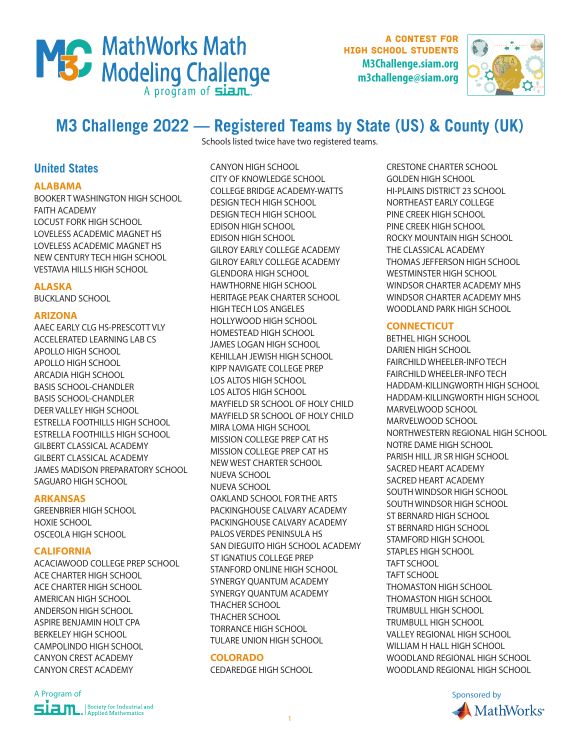

A contest for high school students **M3Challenge.siam.org m3challenge@siam.org**



# **M3 Challenge 2022 — Registered Teams by State (US) & County (UK)**

Schools listed twice have two registered teams.

# **United States**

### **ALABAMA**

BOOKER T WASHINGTON HIGH SCHOOL FAITH ACADEMY LOCUST FORK HIGH SCHOOL LOVELESS ACADEMIC MAGNET HS LOVELESS ACADEMIC MAGNET HS NEW CENTURY TECH HIGH SCHOOL VESTAVIA HILLS HIGH SCHOOL

### **ALASKA**

BUCKLAND SCHOOL

### **ARIZONA**

AAEC EARLY CLG HS-PRESCOTT VLY ACCELERATED LEARNING LAB CS APOLLO HIGH SCHOOL APOLLO HIGH SCHOOL ARCADIA HIGH SCHOOL BASIS SCHOOL-CHANDLER BASIS SCHOOL-CHANDLER DEER VALLEY HIGH SCHOOL ESTRELLA FOOTHILLS HIGH SCHOOL ESTRELLA FOOTHILLS HIGH SCHOOL GILBERT CLASSICAL ACADEMY GILBERT CLASSICAL ACADEMY JAMES MADISON PREPARATORY SCHOOL SAGUARO HIGH SCHOOL

### **ARKANSAS**

GREENBRIER HIGH SCHOOL HOXIE SCHOOL OSCEOLA HIGH SCHOOL

### **CALIFORNIA**

ACACIAWOOD COLLEGE PREP SCHOOL ACE CHARTER HIGH SCHOOL ACE CHARTER HIGH SCHOOL AMERICAN HIGH SCHOOL ANDERSON HIGH SCHOOL ASPIRE BENJAMIN HOLT CPA BERKELEY HIGH SCHOOL CAMPOLINDO HIGH SCHOOL CANYON CREST ACADEMY CANYON CREST ACADEMY

CANYON HIGH SCHOOL CITY OF KNOWLEDGE SCHOOL COLLEGE BRIDGE ACADEMY-WATTS DESIGN TECH HIGH SCHOOL DESIGN TECH HIGH SCHOOL EDISON HIGH SCHOOL EDISON HIGH SCHOOL GILROY EARLY COLLEGE ACADEMY GILROY EARLY COLLEGE ACADEMY GLENDORA HIGH SCHOOL HAWTHORNE HIGH SCHOOL HERITAGE PEAK CHARTER SCHOOL HIGH TECH LOS ANGELES HOLLYWOOD HIGH SCHOOL HOMESTEAD HIGH SCHOOL JAMES LOGAN HIGH SCHOOL KEHILLAH JEWISH HIGH SCHOOL KIPP NAVIGATE COLLEGE PREP LOS ALTOS HIGH SCHOOL LOS ALTOS HIGH SCHOOL MAYFIELD SR SCHOOL OF HOLY CHILD MAYFIELD SR SCHOOL OF HOLY CHILD MIRA LOMA HIGH SCHOOL MISSION COLLEGE PREP CAT HS MISSION COLLEGE PREP CAT HS NEW WEST CHARTER SCHOOL NUEVA SCHOOL NUEVA SCHOOL OAKLAND SCHOOL FOR THE ARTS PACKINGHOUSE CALVARY ACADEMY PACKINGHOUSE CALVARY ACADEMY PALOS VERDES PENINSULA HS SAN DIEGUITO HIGH SCHOOL ACADEMY ST IGNATIUS COLLEGE PREP STANFORD ONLINE HIGH SCHOOL SYNERGY QUANTUM ACADEMY SYNERGY QUANTUM ACADEMY THACHER SCHOOL THACHER SCHOOL TORRANCE HIGH SCHOOL TULARE UNION HIGH SCHOOL

### **COLORADO**

CEDAREDGE HIGH SCHOOL

CRESTONE CHARTER SCHOOL GOLDEN HIGH SCHOOL HI-PLAINS DISTRICT 23 SCHOOL NORTHEAST EARLY COLLEGE PINE CREEK HIGH SCHOOL PINE CREEK HIGH SCHOOL ROCKY MOUNTAIN HIGH SCHOOL THE CLASSICAL ACADEMY THOMAS JEFFERSON HIGH SCHOOL WESTMINSTER HIGH SCHOOL WINDSOR CHARTER ACADEMY MHS WINDSOR CHARTER ACADEMY MHS WOODLAND PARK HIGH SCHOOL

### **CONNECTICUT**

BETHEL HIGH SCHOOL DARIEN HIGH SCHOOL FAIRCHILD WHEELER-INFO TECH FAIRCHILD WHEELER-INFO TECH HADDAM-KILLINGWORTH HIGH SCHOOL HADDAM-KILLINGWORTH HIGH SCHOOL MARVELWOOD SCHOOL MARVELWOOD SCHOOL NORTHWESTERN REGIONAL HIGH SCHOOL NOTRE DAME HIGH SCHOOL PARISH HILL JR SR HIGH SCHOOL SACRED HEART ACADEMY SACRED HEART ACADEMY SOUTH WINDSOR HIGH SCHOOL SOUTH WINDSOR HIGH SCHOOL ST BERNARD HIGH SCHOOL ST BERNARD HIGH SCHOOL STAMFORD HIGH SCHOOL STAPLES HIGH SCHOOL TAFT SCHOOL TAFT SCHOOL THOMASTON HIGH SCHOOL THOMASTON HIGH SCHOOL TRUMBULL HIGH SCHOOL TRUMBULL HIGH SCHOOL VALLEY REGIONAL HIGH SCHOOL WILLIAM H HALL HIGH SCHOOL WOODLAND REGIONAL HIGH SCHOOL WOODLAND REGIONAL HIGH SCHOOL

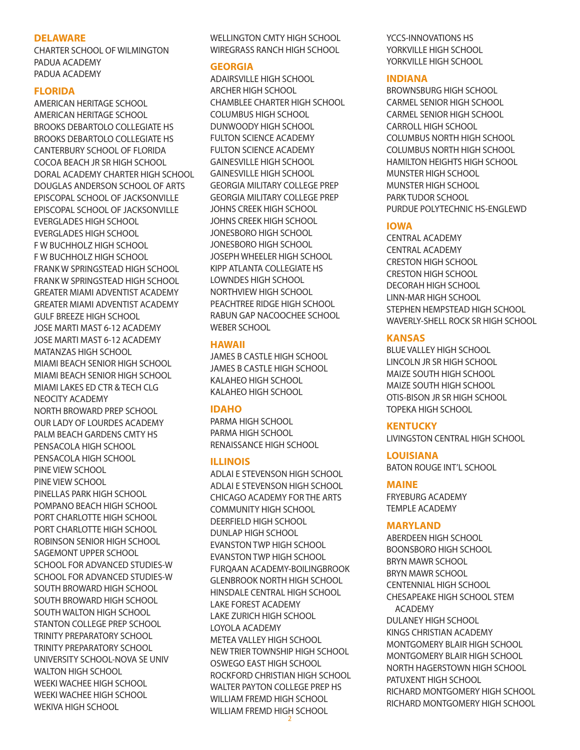#### **DELAWARE**

CHARTER SCHOOL OF WILMINGTON PADUA ACADEMY PADUA ACADEMY

#### **FLORIDA**

AMERICAN HERITAGE SCHOOL AMERICAN HERITAGE SCHOOL BROOKS DEBARTOLO COLLEGIATE HS BROOKS DEBARTOLO COLLEGIATE HS CANTERBURY SCHOOL OF FLORIDA COCOA BEACH JR SR HIGH SCHOOL DORAL ACADEMY CHARTER HIGH SCHOOL DOUGLAS ANDERSON SCHOOL OF ARTS EPISCOPAL SCHOOL OF JACKSONVILLE EPISCOPAL SCHOOL OF JACKSONVILLE EVERGLADES HIGH SCHOOL EVERGLADES HIGH SCHOOL F W BUCHHOLZ HIGH SCHOOL F W BUCHHOLZ HIGH SCHOOL FRANK W SPRINGSTEAD HIGH SCHOOL FRANK W SPRINGSTEAD HIGH SCHOOL GREATER MIAMI ADVENTIST ACADEMY GREATER MIAMI ADVENTIST ACADEMY GULF BREEZE HIGH SCHOOL JOSE MARTI MAST 6-12 ACADEMY JOSE MARTI MAST 6-12 ACADEMY MATANZAS HIGH SCHOOL MIAMI BEACH SENIOR HIGH SCHOOL MIAMI BEACH SENIOR HIGH SCHOOL MIAMI LAKES ED CTR & TECH CLG NEOCITY ACADEMY NORTH BROWARD PREP SCHOOL OUR LADY OF LOURDES ACADEMY PALM BEACH GARDENS CMTY HS PENSACOLA HIGH SCHOOL PENSACOLA HIGH SCHOOL PINE VIEW SCHOOL PINE VIEW SCHOOL PINELLAS PARK HIGH SCHOOL POMPANO BEACH HIGH SCHOOL PORT CHARLOTTE HIGH SCHOOL PORT CHARLOTTE HIGH SCHOOL ROBINSON SENIOR HIGH SCHOOL SAGEMONT UPPER SCHOOL SCHOOL FOR ADVANCED STUDIES-W SCHOOL FOR ADVANCED STUDIES-W SOUTH BROWARD HIGH SCHOOL SOUTH BROWARD HIGH SCHOOL SOUTH WALTON HIGH SCHOOL STANTON COLLEGE PREP SCHOOL TRINITY PREPARATORY SCHOOL TRINITY PREPARATORY SCHOOL UNIVERSITY SCHOOL-NOVA SE UNIV WALTON HIGH SCHOOL WEEKI WACHEE HIGH SCHOOL WEEKI WACHEE HIGH SCHOOL WEKIVA HIGH SCHOOL

WELLINGTON CMTY HIGH SCHOOL WIREGRASS RANCH HIGH SCHOOL

#### **GEORGIA**

ADAIRSVILLE HIGH SCHOOL ARCHER HIGH SCHOOL CHAMBLEE CHARTER HIGH SCHOOL COLUMBUS HIGH SCHOOL DUNWOODY HIGH SCHOOL FULTON SCIENCE ACADEMY FULTON SCIENCE ACADEMY GAINESVILLE HIGH SCHOOL GAINESVILLE HIGH SCHOOL GEORGIA MILITARY COLLEGE PREP GEORGIA MILITARY COLLEGE PREP JOHNS CREEK HIGH SCHOOL JOHNS CREEK HIGH SCHOOL JONESBORO HIGH SCHOOL JONESBORO HIGH SCHOOL JOSEPH WHEELER HIGH SCHOOL KIPP ATLANTA COLLEGIATE HS LOWNDES HIGH SCHOOL NORTHVIEW HIGH SCHOOL PEACHTREE RIDGE HIGH SCHOOL RABUN GAP NACOOCHEE SCHOOL WEBER SCHOOL

### **HAWAII**

JAMES B CASTLE HIGH SCHOOL JAMES B CASTLE HIGH SCHOOL KALAHEO HIGH SCHOOL KALAHEO HIGH SCHOOL

### **IDAHO**

PARMA HIGH SCHOOL PARMA HIGH SCHOOL RENAISSANCE HIGH SCHOOL

### **ILLINOIS**

ADLAI E STEVENSON HIGH SCHOOL ADLAI E STEVENSON HIGH SCHOOL CHICAGO ACADEMY FOR THE ARTS COMMUNITY HIGH SCHOOL DEERFIELD HIGH SCHOOL DUNLAP HIGH SCHOOL EVANSTON TWP HIGH SCHOOL EVANSTON TWP HIGH SCHOOL FURQAAN ACADEMY-BOILINGBROOK GLENBROOK NORTH HIGH SCHOOL HINSDALE CENTRAL HIGH SCHOOL LAKE FOREST ACADEMY LAKE ZURICH HIGH SCHOOL LOYOLA ACADEMY METEA VALLEY HIGH SCHOOL NEW TRIER TOWNSHIP HIGH SCHOOL OSWEGO EAST HIGH SCHOOL ROCKFORD CHRISTIAN HIGH SCHOOL WALTER PAYTON COLLEGE PREP HS WILLIAM FREMD HIGH SCHOOL WILLIAM FREMD HIGH SCHOOL

YCCS-INNOVATIONS HS YORKVILLE HIGH SCHOOL YORKVILLE HIGH SCHOOL

### **INDIANA**

BROWNSBURG HIGH SCHOOL CARMEL SENIOR HIGH SCHOOL CARMEL SENIOR HIGH SCHOOL CARROLL HIGH SCHOOL COLUMBUS NORTH HIGH SCHOOL COLUMBUS NORTH HIGH SCHOOL HAMILTON HEIGHTS HIGH SCHOOL MUNSTER HIGH SCHOOL MUNSTER HIGH SCHOOL PARK TUDOR SCHOOL PURDUE POLYTECHNIC HS-ENGLEWD

### **IOWA**

CENTRAL ACADEMY CENTRAL ACADEMY CRESTON HIGH SCHOOL CRESTON HIGH SCHOOL DECORAH HIGH SCHOOL LINN-MAR HIGH SCHOOL STEPHEN HEMPSTEAD HIGH SCHOOL WAVERLY-SHELL ROCK SR HIGH SCHOOL

### **KANSAS**

BLUE VALLEY HIGH SCHOOL LINCOLN JR SR HIGH SCHOOL MAIZE SOUTH HIGH SCHOOL MAIZE SOUTH HIGH SCHOOL OTIS-BISON JR SR HIGH SCHOOL TOPEKA HIGH SCHOOL

### **KENTUCKY**

LIVINGSTON CENTRAL HIGH SCHOOL

### **LOUISIANA**

BATON ROUGE INT'L SCHOOL

### **MAINE**

FRYEBURG ACADEMY TEMPLE ACADEMY

### **MARYLAND**

ABERDEEN HIGH SCHOOL BOONSBORO HIGH SCHOOL BRYN MAWR SCHOOL BRYN MAWR SCHOOL CENTENNIAL HIGH SCHOOL CHESAPEAKE HIGH SCHOOL STEM ACADEMY DULANEY HIGH SCHOOL KINGS CHRISTIAN ACADEMY MONTGOMERY BLAIR HIGH SCHOOL MONTGOMERY BLAIR HIGH SCHOOL NORTH HAGERSTOWN HIGH SCHOOL PATUXENT HIGH SCHOOL RICHARD MONTGOMERY HIGH SCHOOL RICHARD MONTGOMERY HIGH SCHOOL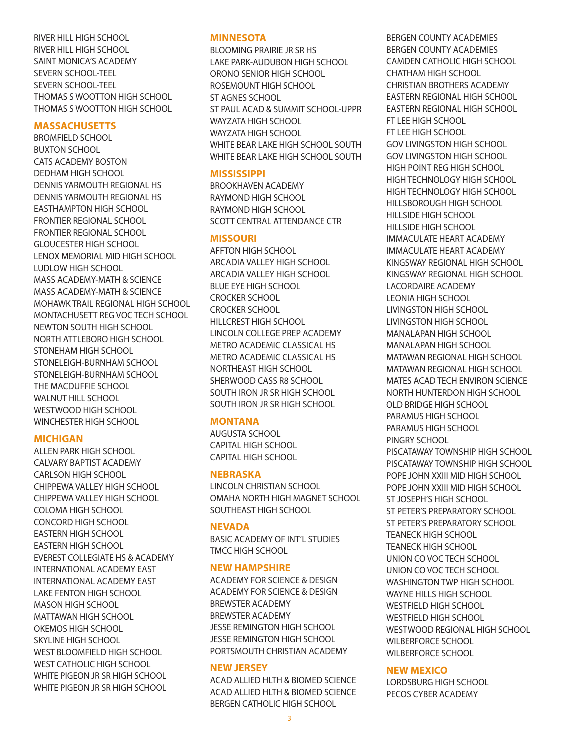### RIVER HILL HIGH SCHOOL RIVER HILL HIGH SCHOOL SAINT MONICA'S ACADEMY SEVERN SCHOOL-TEEL SEVERN SCHOOL-TEEL THOMAS S WOOTTON HIGH SCHOOL THOMAS S WOOTTON HIGH SCHOOL

### **MASSACHUSETTS**

BROMFIELD SCHOOL BUXTON SCHOOL CATS ACADEMY BOSTON DEDHAM HIGH SCHOOL DENNIS YARMOUTH REGIONAL HS DENNIS YARMOUTH REGIONAL HS EASTHAMPTON HIGH SCHOOL FRONTIER REGIONAL SCHOOL FRONTIER REGIONAL SCHOOL GLOUCESTER HIGH SCHOOL LENOX MEMORIAL MID HIGH SCHOOL LUDLOW HIGH SCHOOL MASS ACADEMY-MATH & SCIENCE MASS ACADEMY-MATH & SCIENCE MOHAWK TRAIL REGIONAL HIGH SCHOOL MONTACHUSETT REG VOC TECH SCHOOL NEWTON SOUTH HIGH SCHOOL NORTH ATTLEBORO HIGH SCHOOL STONEHAM HIGH SCHOOL STONELEIGH-BURNHAM SCHOOL STONELEIGH-BURNHAM SCHOOL THE MACDUFFIE SCHOOL WALNUT HILL SCHOOL WESTWOOD HIGH SCHOOL WINCHESTER HIGH SCHOOL

### **MICHIGAN**

ALLEN PARK HIGH SCHOOL CALVARY BAPTIST ACADEMY CARLSON HIGH SCHOOL CHIPPEWA VALLEY HIGH SCHOOL CHIPPEWA VALLEY HIGH SCHOOL COLOMA HIGH SCHOOL CONCORD HIGH SCHOOL EASTERN HIGH SCHOOL EASTERN HIGH SCHOOL EVEREST COLLEGIATE HS & ACADEMY INTERNATIONAL ACADEMY EAST INTERNATIONAL ACADEMY EAST LAKE FENTON HIGH SCHOOL MASON HIGH SCHOOL MATTAWAN HIGH SCHOOL OKEMOS HIGH SCHOOL SKYLINE HIGH SCHOOL WEST BLOOMFIELD HIGH SCHOOL WEST CATHOLIC HIGH SCHOOL WHITE PIGEON JR SR HIGH SCHOOL WHITE PIGEON JR SR HIGH SCHOOL

#### **MINNESOTA**

BLOOMING PRAIRIE JR SR HS LAKE PARK-AUDUBON HIGH SCHOOL ORONO SENIOR HIGH SCHOOL ROSEMOUNT HIGH SCHOOL ST AGNES SCHOOL ST PAUL ACAD & SUMMIT SCHOOL-UPPR WAYZATA HIGH SCHOOL WAYZATA HIGH SCHOOL WHITE BEAR LAKE HIGH SCHOOL SOUTH WHITE BEAR LAKE HIGH SCHOOL SOUTH

### **MISSISSIPPI**

BROOKHAVEN ACADEMY RAYMOND HIGH SCHOOL RAYMOND HIGH SCHOOL SCOTT CENTRAL ATTENDANCE CTR

### **MISSOURI**

AFFTON HIGH SCHOOL ARCADIA VALLEY HIGH SCHOOL ARCADIA VALLEY HIGH SCHOOL BLUE EYE HIGH SCHOOL CROCKER SCHOOL CROCKER SCHOOL HILLCREST HIGH SCHOOL LINCOLN COLLEGE PREP ACADEMY METRO ACADEMIC CLASSICAL HS METRO ACADEMIC CLASSICAL HS NORTHEAST HIGH SCHOOL SHERWOOD CASS R8 SCHOOL SOUTH IRON JR SR HIGH SCHOOL SOUTH IRON JR SR HIGH SCHOOL

### **MONTANA**

AUGUSTA SCHOOL CAPITAL HIGH SCHOOL CAPITAL HIGH SCHOOL

### **NEBRASKA**

LINCOLN CHRISTIAN SCHOOL OMAHA NORTH HIGH MAGNET SCHOOL SOUTHEAST HIGH SCHOOL

### **NEVADA**

BASIC ACADEMY OF INT'L STUDIES TMCC HIGH SCHOOL

### **NEW HAMPSHIRE**

ACADEMY FOR SCIENCE & DESIGN ACADEMY FOR SCIENCE & DESIGN BREWSTER ACADEMY BREWSTER ACADEMY JESSE REMINGTON HIGH SCHOOL JESSE REMINGTON HIGH SCHOOL PORTSMOUTH CHRISTIAN ACADEMY

### **NEW JERSEY**

ACAD ALLIED HLTH & BIOMED SCIENCE ACAD ALLIED HLTH & BIOMED SCIENCE BERGEN CATHOLIC HIGH SCHOOL

BERGEN COUNTY ACADEMIES BERGEN COUNTY ACADEMIES CAMDEN CATHOLIC HIGH SCHOOL CHATHAM HIGH SCHOOL CHRISTIAN BROTHERS ACADEMY EASTERN REGIONAL HIGH SCHOOL EASTERN REGIONAL HIGH SCHOOL FT LEE HIGH SCHOOL FT LEE HIGH SCHOOL GOV LIVINGSTON HIGH SCHOOL GOV LIVINGSTON HIGH SCHOOL HIGH POINT REG HIGH SCHOOL HIGH TECHNOLOGY HIGH SCHOOL HIGH TECHNOLOGY HIGH SCHOOL HILLSBOROUGH HIGH SCHOOL HILLSIDE HIGH SCHOOL HILLSIDE HIGH SCHOOL IMMACULATE HEART ACADEMY IMMACULATE HEART ACADEMY KINGSWAY REGIONAL HIGH SCHOOL KINGSWAY REGIONAL HIGH SCHOOL LACORDAIRE ACADEMY LEONIA HIGH SCHOOL LIVINGSTON HIGH SCHOOL LIVINGSTON HIGH SCHOOL MANALAPAN HIGH SCHOOL MANALAPAN HIGH SCHOOL MATAWAN REGIONAL HIGH SCHOOL MATAWAN REGIONAL HIGH SCHOOL MATES ACAD TECH ENVIRON SCIENCE NORTH HUNTERDON HIGH SCHOOL OLD BRIDGE HIGH SCHOOL PARAMUS HIGH SCHOOL PARAMUS HIGH SCHOOL PINGRY SCHOOL PISCATAWAY TOWNSHIP HIGH SCHOOL PISCATAWAY TOWNSHIP HIGH SCHOOL POPE JOHN XXIII MID HIGH SCHOOL POPE JOHN XXIII MID HIGH SCHOOL ST JOSEPH'S HIGH SCHOOL ST PETER'S PREPARATORY SCHOOL ST PETER'S PREPARATORY SCHOOL TEANECK HIGH SCHOOL TEANECK HIGH SCHOOL UNION CO VOC TECH SCHOOL UNION CO VOC TECH SCHOOL WASHINGTON TWP HIGH SCHOOL WAYNE HILLS HIGH SCHOOL WESTFIELD HIGH SCHOOL WESTFIELD HIGH SCHOOL WESTWOOD REGIONAL HIGH SCHOOL WILBERFORCE SCHOOL WILBERFORCE SCHOOL

### **NEW MEXICO**

LORDSBURG HIGH SCHOOL PECOS CYBER ACADEMY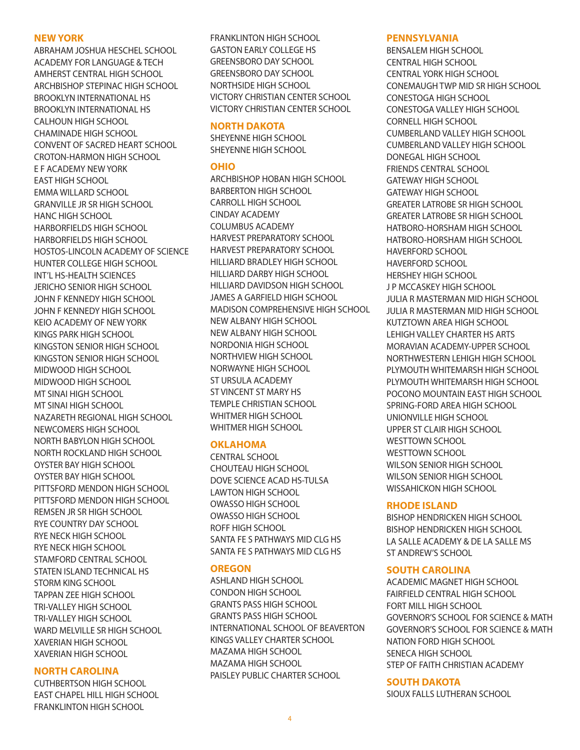#### **NEW YORK**

ABRAHAM JOSHUA HESCHEL SCHOOL ACADEMY FOR LANGUAGE & TECH AMHERST CENTRAL HIGH SCHOOL ARCHBISHOP STEPINAC HIGH SCHOOL BROOKLYN INTERNATIONAL HS BROOKLYN INTERNATIONAL HS CALHOUN HIGH SCHOOL CHAMINADE HIGH SCHOOL CONVENT OF SACRED HEART SCHOOL CROTON-HARMON HIGH SCHOOL E F ACADEMY NEW YORK EAST HIGH SCHOOL EMMA WILLARD SCHOOL GRANVILLE JR SR HIGH SCHOOL HANC HIGH SCHOOL HARBORFIELDS HIGH SCHOOL HARBORFIELDS HIGH SCHOOL HOSTOS-LINCOLN ACADEMY OF SCIENCE HUNTER COLLEGE HIGH SCHOOL INT'L HS-HEALTH SCIENCES JERICHO SENIOR HIGH SCHOOL JOHN F KENNEDY HIGH SCHOOL JOHN F KENNEDY HIGH SCHOOL KEIO ACADEMY OF NEW YORK KINGS PARK HIGH SCHOOL KINGSTON SENIOR HIGH SCHOOL KINGSTON SENIOR HIGH SCHOOL MIDWOOD HIGH SCHOOL MIDWOOD HIGH SCHOOL MT SINAI HIGH SCHOOL MT SINAI HIGH SCHOOL NAZARETH REGIONAL HIGH SCHOOL NEWCOMERS HIGH SCHOOL NORTH BABYLON HIGH SCHOOL NORTH ROCKLAND HIGH SCHOOL OYSTER BAY HIGH SCHOOL OYSTER BAY HIGH SCHOOL PITTSFORD MENDON HIGH SCHOOL PITTSFORD MENDON HIGH SCHOOL REMSEN JR SR HIGH SCHOOL RYE COUNTRY DAY SCHOOL RYE NECK HIGH SCHOOL RYE NECK HIGH SCHOOL STAMFORD CENTRAL SCHOOL STATEN ISLAND TECHNICAL HS STORM KING SCHOOL TAPPAN ZEE HIGH SCHOOL TRI-VALLEY HIGH SCHOOL TRI-VALLEY HIGH SCHOOL WARD MELVILLE SR HIGH SCHOOL XAVERIAN HIGH SCHOOL XAVERIAN HIGH SCHOOL

### **NORTH CAROLINA**

CUTHBERTSON HIGH SCHOOL EAST CHAPEL HILL HIGH SCHOOL FRANKLINTON HIGH SCHOOL

FRANKLINTON HIGH SCHOOL GASTON EARLY COLLEGE HS GREENSBORO DAY SCHOOL GREENSBORO DAY SCHOOL NORTHSIDE HIGH SCHOOL VICTORY CHRISTIAN CENTER SCHOOL VICTORY CHRISTIAN CENTER SCHOOL

### **NORTH DAKOTA**

SHEYENNE HIGH SCHOOL SHEYENNE HIGH SCHOOL

#### **OHIO**

ARCHBISHOP HOBAN HIGH SCHOOL BARBERTON HIGH SCHOOL CARROLL HIGH SCHOOL CINDAY ACADEMY COLUMBUS ACADEMY HARVEST PREPARATORY SCHOOL HARVEST PREPARATORY SCHOOL HILLIARD BRADLEY HIGH SCHOOL HILLIARD DARBY HIGH SCHOOL HILLIARD DAVIDSON HIGH SCHOOL JAMES A GARFIELD HIGH SCHOOL MADISON COMPREHENSIVE HIGH SCHOOL NEW ALBANY HIGH SCHOOL NEW ALBANY HIGH SCHOOL NORDONIA HIGH SCHOOL NORTHVIEW HIGH SCHOOL NORWAYNE HIGH SCHOOL ST URSULA ACADEMY ST VINCENT ST MARY HS TEMPLE CHRISTIAN SCHOOL WHITMER HIGH SCHOOL WHITMER HIGH SCHOOL

#### **OKLAHOMA**

CENTRAL SCHOOL CHOUTEAU HIGH SCHOOL DOVE SCIENCE ACAD HS-TULSA LAWTON HIGH SCHOOL OWASSO HIGH SCHOOL OWASSO HIGH SCHOOL ROFF HIGH SCHOOL SANTA FE S PATHWAYS MID CLG HS SANTA FE S PATHWAYS MID CLG HS

### **OREGON**

ASHLAND HIGH SCHOOL CONDON HIGH SCHOOL GRANTS PASS HIGH SCHOOL GRANTS PASS HIGH SCHOOL INTERNATIONAL SCHOOL OF BEAVERTON KINGS VALLEY CHARTER SCHOOL MAZAMA HIGH SCHOOL MAZAMA HIGH SCHOOL PAISLEY PUBLIC CHARTER SCHOOL

#### **PENNSYLVANIA**

BENSALEM HIGH SCHOOL CENTRAL HIGH SCHOOL CENTRAL YORK HIGH SCHOOL CONEMAUGH TWP MID SR HIGH SCHOOL CONESTOGA HIGH SCHOOL CONESTOGA VALLEY HIGH SCHOOL CORNELL HIGH SCHOOL CUMBERLAND VALLEY HIGH SCHOOL CUMBERLAND VALLEY HIGH SCHOOL DONEGAL HIGH SCHOOL FRIENDS CENTRAL SCHOOL GATEWAY HIGH SCHOOL GATEWAY HIGH SCHOOL GREATER LATROBE SR HIGH SCHOOL GREATER LATROBE SR HIGH SCHOOL HATBORO-HORSHAM HIGH SCHOOL HATBORO-HORSHAM HIGH SCHOOL HAVERFORD SCHOOL HAVERFORD SCHOOL HERSHEY HIGH SCHOOL J P MCCASKEY HIGH SCHOOL JULIA R MASTERMAN MID HIGH SCHOOL JULIA R MASTERMAN MID HIGH SCHOOL KUTZTOWN AREA HIGH SCHOOL LEHIGH VALLEY CHARTER HS ARTS MORAVIAN ACADEMY-UPPER SCHOOL NORTHWESTERN LEHIGH HIGH SCHOOL PLYMOUTH WHITEMARSH HIGH SCHOOL PLYMOUTH WHITEMARSH HIGH SCHOOL POCONO MOUNTAIN EAST HIGH SCHOOL SPRING-FORD AREA HIGH SCHOOL UNIONVILLE HIGH SCHOOL UPPER ST CLAIR HIGH SCHOOL WESTTOWN SCHOOL WESTTOWN SCHOOL WILSON SENIOR HIGH SCHOOL WILSON SENIOR HIGH SCHOOL WISSAHICKON HIGH SCHOOL

### **RHODE ISLAND**

BISHOP HENDRICKEN HIGH SCHOOL BISHOP HENDRICKEN HIGH SCHOOL LA SALLE ACADEMY & DE LA SALLE MS ST ANDREW'S SCHOOL

### **SOUTH CAROLINA**

ACADEMIC MAGNET HIGH SCHOOL FAIRFIELD CENTRAL HIGH SCHOOL FORT MILL HIGH SCHOOL GOVERNOR'S SCHOOL FOR SCIENCE & MATH GOVERNOR'S SCHOOL FOR SCIENCE & MATH NATION FORD HIGH SCHOOL SENECA HIGH SCHOOL STEP OF FAITH CHRISTIAN ACADEMY

#### **SOUTH DAKOTA**

SIOUX FALLS LUTHERAN SCHOOL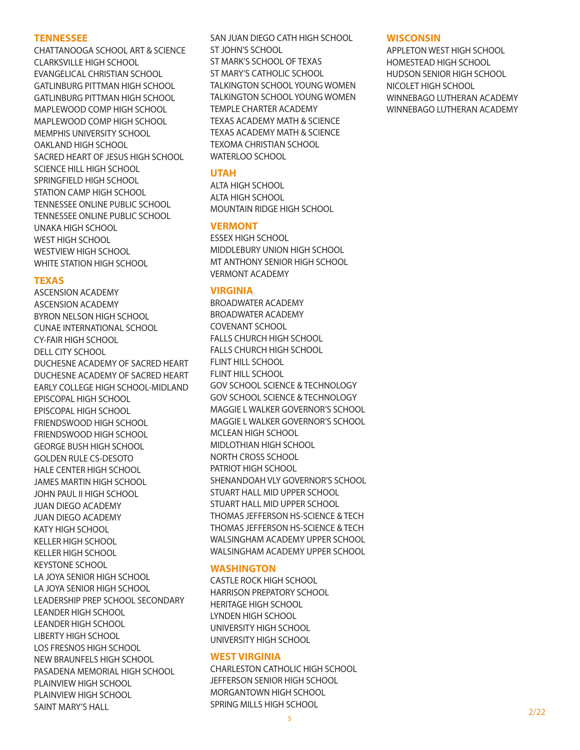#### **TENNESSEE**

CHATTANOOGA SCHOOL ART & SCIENCE CLARKSVILLE HIGH SCHOOL EVANGELICAL CHRISTIAN SCHOOL GATLINBURG PITTMAN HIGH SCHOOL GATLINBURG PITTMAN HIGH SCHOOL MAPLEWOOD COMP HIGH SCHOOL MAPLEWOOD COMP HIGH SCHOOL MEMPHIS UNIVERSITY SCHOOL OAKLAND HIGH SCHOOL SACRED HEART OF JESUS HIGH SCHOOL SCIENCE HILL HIGH SCHOOL SPRINGFIELD HIGH SCHOOL STATION CAMP HIGH SCHOOL TENNESSEE ONLINE PUBLIC SCHOOL TENNESSEE ONLINE PUBLIC SCHOOL UNAKA HIGH SCHOOL WEST HIGH SCHOOL WESTVIEW HIGH SCHOOL WHITE STATION HIGH SCHOOL

### **TEXAS**

ASCENSION ACADEMY ASCENSION ACADEMY BYRON NELSON HIGH SCHOOL CUNAE INTERNATIONAL SCHOOL CY-FAIR HIGH SCHOOL DELL CITY SCHOOL DUCHESNE ACADEMY OF SACRED HEART DUCHESNE ACADEMY OF SACRED HEART EARLY COLLEGE HIGH SCHOOL-MIDLAND EPISCOPAL HIGH SCHOOL EPISCOPAL HIGH SCHOOL FRIENDSWOOD HIGH SCHOOL FRIENDSWOOD HIGH SCHOOL GEORGE BUSH HIGH SCHOOL GOLDEN RULE CS-DESOTO HALE CENTER HIGH SCHOOL JAMES MARTIN HIGH SCHOOL JOHN PAUL II HIGH SCHOOL JUAN DIEGO ACADEMY JUAN DIEGO ACADEMY KATY HIGH SCHOOL KELLER HIGH SCHOOL KELLER HIGH SCHOOL KEYSTONE SCHOOL LA JOYA SENIOR HIGH SCHOOL LA JOYA SENIOR HIGH SCHOOL LEADERSHIP PREP SCHOOL SECONDARY LEANDER HIGH SCHOOL LEANDER HIGH SCHOOL LIBERTY HIGH SCHOOL LOS FRESNOS HIGH SCHOOL NEW BRAUNFELS HIGH SCHOOL PASADENA MEMORIAL HIGH SCHOOL PLAINVIEW HIGH SCHOOL PLAINVIEW HIGH SCHOOL SAINT MARY'S HALL

SAN JUAN DIEGO CATH HIGH SCHOOL ST JOHN'S SCHOOL ST MARK'S SCHOOL OF TEXAS ST MARY'S CATHOLIC SCHOOL TALKINGTON SCHOOL YOUNG WOMEN TALKINGTON SCHOOL YOUNG WOMEN TEMPLE CHARTER ACADEMY TEXAS ACADEMY MATH & SCIENCE TEXAS ACADEMY MATH & SCIENCE TEXOMA CHRISTIAN SCHOOL WATERLOO SCHOOL

### **UTAH**

ALTA HIGH SCHOOL ALTA HIGH SCHOOL MOUNTAIN RIDGE HIGH SCHOOL

### **VERMONT**

ESSEX HIGH SCHOOL MIDDLEBURY UNION HIGH SCHOOL MT ANTHONY SENIOR HIGH SCHOOL VERMONT ACADEMY

#### **VIRGINIA**

BROADWATER ACADEMY BROADWATER ACADEMY COVENANT SCHOOL FALLS CHURCH HIGH SCHOOL FALLS CHURCH HIGH SCHOOL FLINT HILL SCHOOL FLINT HILL SCHOOL GOV SCHOOL SCIENCE & TECHNOLOGY GOV SCHOOL SCIENCE & TECHNOLOGY MAGGIE L WALKER GOVERNOR'S SCHOOL MAGGIE L WALKER GOVERNOR'S SCHOOL MCLEAN HIGH SCHOOL MIDLOTHIAN HIGH SCHOOL NORTH CROSS SCHOOL PATRIOT HIGH SCHOOL SHENANDOAH VLY GOVERNOR'S SCHOOL STUART HALL MID UPPER SCHOOL STUART HALL MID UPPER SCHOOL THOMAS JEFFERSON HS-SCIENCE & TECH THOMAS JEFFERSON HS-SCIENCE & TECH WALSINGHAM ACADEMY UPPER SCHOOL WALSINGHAM ACADEMY UPPER SCHOOL

### **WASHINGTON**

CASTLE ROCK HIGH SCHOOL HARRISON PREPATORY SCHOOL HERITAGE HIGH SCHOOL LYNDEN HIGH SCHOOL UNIVERSITY HIGH SCHOOL UNIVERSITY HIGH SCHOOL

### **WEST VIRGINIA**

CHARLESTON CATHOLIC HIGH SCHOOL JEFFERSON SENIOR HIGH SCHOOL MORGANTOWN HIGH SCHOOL SPRING MILLS HIGH SCHOOL

### **WISCONSIN**

APPLETON WEST HIGH SCHOOL HOMESTEAD HIGH SCHOOL HUDSON SENIOR HIGH SCHOOL NICOLET HIGH SCHOOL WINNEBAGO LUTHERAN ACADEMY WINNEBAGO LUTHERAN ACADEMY